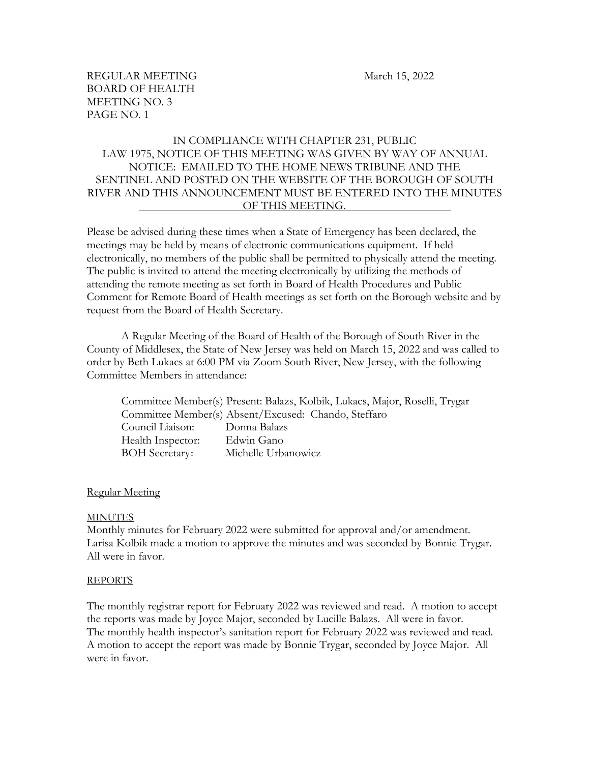# IN COMPLIANCE WITH CHAPTER 231, PUBLIC LAW 1975, NOTICE OF THIS MEETING WAS GIVEN BY WAY OF ANNUAL NOTICE: EMAILED TO THE HOME NEWS TRIBUNE AND THE SENTINEL AND POSTED ON THE WEBSITE OF THE BOROUGH OF SOUTH RIVER AND THIS ANNOUNCEMENT MUST BE ENTERED INTO THE MINUTES OF THIS MEETING.

Please be advised during these times when a State of Emergency has been declared, the meetings may be held by means of electronic communications equipment. If held electronically, no members of the public shall be permitted to physically attend the meeting. The public is invited to attend the meeting electronically by utilizing the methods of attending the remote meeting as set forth in Board of Health Procedures and Public Comment for Remote Board of Health meetings as set forth on the Borough website and by request from the Board of Health Secretary.

A Regular Meeting of the Board of Health of the Borough of South River in the County of Middlesex, the State of New Jersey was held on March 15, 2022 and was called to order by Beth Lukacs at 6:00 PM via Zoom South River, New Jersey, with the following Committee Members in attendance:

Committee Member(s) Present: Balazs, Kolbik, Lukacs, Major, Roselli, Trygar Committee Member(s) Absent/Excused: Chando, Steffaro Council Liaison: Donna Balazs Health Inspector: Edwin Gano BOH Secretary: Michelle Urbanowicz

#### Regular Meeting

#### MINUTES

Monthly minutes for February 2022 were submitted for approval and/or amendment. Larisa Kolbik made a motion to approve the minutes and was seconded by Bonnie Trygar. All were in favor.

#### REPORTS

The monthly registrar report for February 2022 was reviewed and read. A motion to accept the reports was made by Joyce Major, seconded by Lucille Balazs. All were in favor. The monthly health inspector's sanitation report for February 2022 was reviewed and read. A motion to accept the report was made by Bonnie Trygar, seconded by Joyce Major. All were in favor.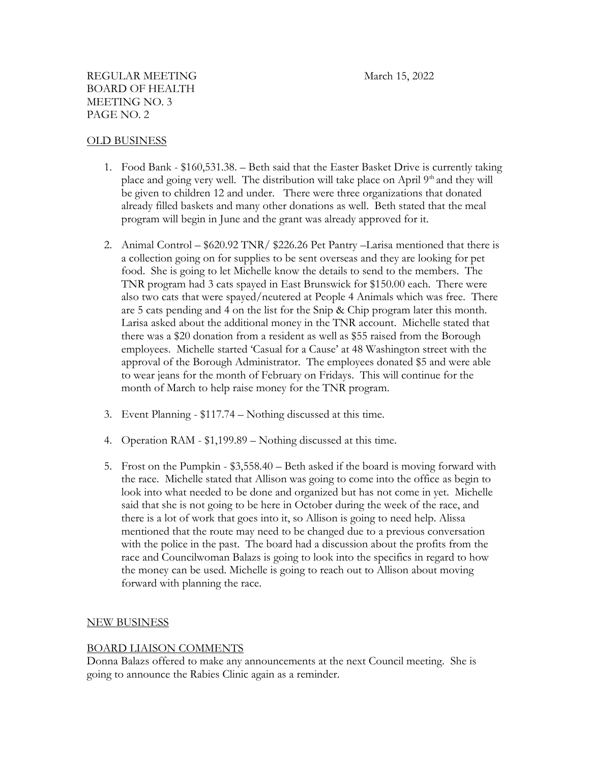### OLD BUSINESS

- 1. Food Bank \$160,531.38. Beth said that the Easter Basket Drive is currently taking place and going very well. The distribution will take place on April  $9<sup>th</sup>$  and they will be given to children 12 and under. There were three organizations that donated already filled baskets and many other donations as well. Beth stated that the meal program will begin in June and the grant was already approved for it.
- 2. Animal Control \$620.92 TNR/ \$226.26 Pet Pantry –Larisa mentioned that there is a collection going on for supplies to be sent overseas and they are looking for pet food. She is going to let Michelle know the details to send to the members. The TNR program had 3 cats spayed in East Brunswick for \$150.00 each. There were also two cats that were spayed/neutered at People 4 Animals which was free. There are 5 cats pending and 4 on the list for the Snip & Chip program later this month. Larisa asked about the additional money in the TNR account. Michelle stated that there was a \$20 donation from a resident as well as \$55 raised from the Borough employees. Michelle started 'Casual for a Cause' at 48 Washington street with the approval of the Borough Administrator. The employees donated \$5 and were able to wear jeans for the month of February on Fridays. This will continue for the month of March to help raise money for the TNR program.
- 3. Event Planning \$117.74 Nothing discussed at this time.
- 4. Operation RAM \$1,199.89 Nothing discussed at this time.
- 5. Frost on the Pumpkin \$3,558.40 Beth asked if the board is moving forward with the race. Michelle stated that Allison was going to come into the office as begin to look into what needed to be done and organized but has not come in yet. Michelle said that she is not going to be here in October during the week of the race, and there is a lot of work that goes into it, so Allison is going to need help. Alissa mentioned that the route may need to be changed due to a previous conversation with the police in the past. The board had a discussion about the profits from the race and Councilwoman Balazs is going to look into the specifics in regard to how the money can be used. Michelle is going to reach out to Allison about moving forward with planning the race.

### NEW BUSINESS

### BOARD LIAISON COMMENTS

Donna Balazs offered to make any announcements at the next Council meeting. She is going to announce the Rabies Clinic again as a reminder.